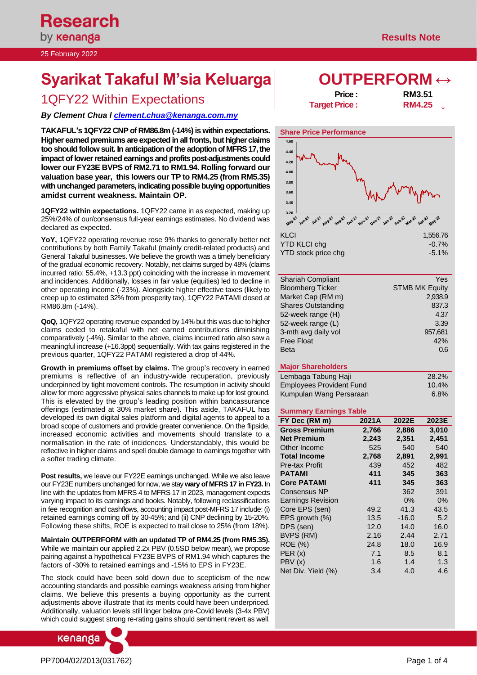# **Syarikat Takaful M'sia Keluarga OUTPERFORM** ↔

## 1QFY22 Within Expectations **Price : Price : RM3.51**<br>**RM4.25**

### *By Clement Chua [l clement.chua@kenanga.co](mailto:clement.chua@kenanga.com.my)m.my*

**TAKAFUL's 1QFY22 CNP of RM86.8m (-14%) iswithin expectations. Higher earned premiums are expected in all fronts, but higher claims too should follow suit. In anticipation of the adoption of MFRS 17, the impact of lower retained earnings and profits post-adjustments could lower our FY23E BVPS of RM2.71 to RM1.94. Rolling forward our valuation base year, this lowers our TP to RM4.25 (from RM5.35) with unchanged parameters, indicating possible buying opportunities amidst current weakness. Maintain OP.**

**1QFY22 within expectations.** 1QFY22 came in as expected, making up 25%/24% of our/consensus full-year earnings estimates. No dividend was declared as expected.

**YoY,** 1QFY22 operating revenue rose 9% thanks to generally better net contributions by both Family Takaful (mainly credit-related products) and General Takaful businesses. We believe the growth was a timely beneficiary of the gradual economic recovery. Notably, net claims surged by 48% (claims incurred ratio: 55.4%, +13.3 ppt) coinciding with the increase in movement and incidences. Additionally, losses in fair value (equities) led to decline in other operating income (-23%). Alongside higher effective taxes (likely to creep up to estimated 32% from prosperity tax), 1QFY22 PATAMI closed at RM86.8m (-14%).

**QoQ,** 1QFY22 operating revenue expanded by 14% but this was due to higher claims ceded to retakaful with net earned contributions diminishing comparatively (-4%). Similar to the above, claims incurred ratio also saw a meaningful increase (+16.3ppt) sequentially. With tax gains registered in the previous quarter, 1QFY22 PATAMI registered a drop of 44%.

**Growth in premiums offset by claims.** The group's recovery in earned premiums is reflective of an industry-wide recuperation, previously underpinned by tight movement controls. The resumption in activity should allow for more aggressive physical sales channels to make up for lost ground. This is elevated by the group's leading position within bancassurance offerings (estimated at 30% market share). This aside, TAKAFUL has developed its own digital sales platform and digital agents to appeal to a broad scope of customers and provide greater convenience. On the flipside, increased economic activities and movements should translate to a normalisation in the rate of incidences. Understandably, this would be reflective in higher claims and spell double damage to earnings together with a softer trading climate.

**Post results,** we leave our FY22E earnings unchanged. While we also leave our FY23E numbers unchanged for now, we stay **wary of MFRS 17 in FY23.** In line with the updates from MFRS 4 to MFRS 17 in 2023, management expects varying impact to its earnings and books. Notably, following reclassifications in fee recognition and cashflows, accounting impact post-MFRS 17 include: (i) retained earnings coming off by 30-45%; and (ii) CNP declining by 15-20%. Following these shifts, ROE is expected to trail close to 25% (from 18%).

**Maintain OUTPERFORM with an updated TP of RM4.25 (from RM5.35).**  While we maintain our applied 2.2x PBV (0.5SD below mean), we propose pairing against a hypothetical FY23E BVPS of RM1.94 which captures the factors of -30% to retained earnings and -15% to EPS in FY23E.

The stock could have been sold down due to scepticism of the new accounting standards and possible earnings weakness arising from higher claims. We believe this presents a buying opportunity as the current adjustments above illustrate that its merits could have been underpriced. Additionally, valuation levels still linger below pre-Covid levels (3-4x PBV) which could suggest strong re-rating gains should sentiment revert as well.



**Target Price :** 



| Yes                   |
|-----------------------|
| <b>STMB MK Equity</b> |
| 2,938.9               |
| 837.3                 |
| 4.37                  |
| 3.39                  |
| 957,681               |
| 42%                   |
| 0.6                   |
|                       |

#### **Major Shareholders**

| Lembaga Tabung Haji             | 28.2% |
|---------------------------------|-------|
| <b>Employees Provident Fund</b> | 10.4% |
| Kumpulan Wang Persaraan         | 6.8%  |

#### **Summary Earnings Table**

| 2021A | 2022E   | 2023E |
|-------|---------|-------|
| 2,766 | 2,886   | 3,010 |
| 2,243 | 2,351   | 2,451 |
| 525   | 540     | 540   |
| 2,768 | 2,891   | 2,991 |
| 439   | 452     | 482   |
| 411   | 345     | 363   |
| 411   | 345     | 363   |
|       | 362     | 391   |
|       | $0\%$   | $0\%$ |
| 49.2  | 41.3    | 43.5  |
| 13.5  | $-16.0$ | 5.2   |
| 12.0  | 14.0    | 16.0  |
| 2.16  | 2.44    | 2.71  |
| 24.8  | 18.0    | 16.9  |
| 7.1   | 8.5     | 8.1   |
| 1.6   | 1.4     | 1.3   |
| 3.4   | 4.0     | 4.6   |
|       |         |       |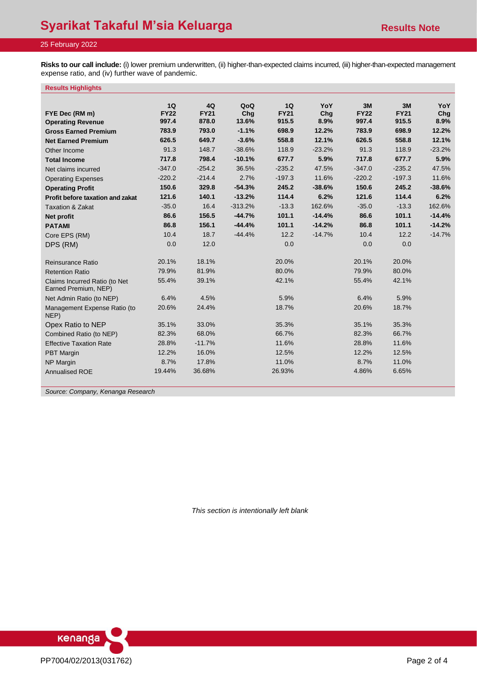**Risks to our call include:** (i) lower premium underwritten, (ii) higher-than-expected claims incurred, (iii) higher-than-expected management expense ratio, and (iv) further wave of pandemic.

#### **Results Highlights**

|                                                       | 1Q                   | 4Q          | QoQ       | 1Q          | YoY      | 3M          | 3M          | YoY      |
|-------------------------------------------------------|----------------------|-------------|-----------|-------------|----------|-------------|-------------|----------|
| FYE Dec (RM m)                                        | <b>FY22</b>          | <b>FY21</b> | Cha       | <b>FY21</b> | Chq      | <b>FY22</b> | <b>FY21</b> | Chq      |
| <b>Operating Revenue</b>                              | 997.4                | 878.0       | 13.6%     | 915.5       | 8.9%     | 997.4       | 915.5       | 8.9%     |
| <b>Gross Earned Premium</b>                           | 783.9                | 793.0       | $-1.1%$   | 698.9       | 12.2%    | 783.9       | 698.9       | 12.2%    |
| <b>Net Earned Premium</b>                             | 626.5                | 649.7       | $-3.6%$   | 558.8       | 12.1%    | 626.5       | 558.8       | 12.1%    |
| Other Income                                          | 91.3                 | 148.7       | $-38.6%$  | 118.9       | $-23.2%$ | 91.3        | 118.9       | $-23.2%$ |
| <b>Total Income</b>                                   | 717.8                | 798.4       | $-10.1%$  | 677.7       | 5.9%     | 717.8       | 677.7       | 5.9%     |
| Net claims incurred                                   | $-347.0$             | $-254.2$    | 36.5%     | $-235.2$    | 47.5%    | $-347.0$    | $-235.2$    | 47.5%    |
| <b>Operating Expenses</b>                             | $-220.2$<br>$-214.4$ |             |           |             | 11.6%    | $-220.2$    | $-197.3$    | 11.6%    |
| <b>Operating Profit</b>                               | 150.6                | 329.8       | $-54.3%$  | 245.2       | $-38.6%$ | 150.6       | 245.2       | $-38.6%$ |
| Profit before taxation and zakat                      | 121.6                | 140.1       | $-13.2%$  | 114.4       | 6.2%     | 121.6       | 114.4       | 6.2%     |
| <b>Taxation &amp; Zakat</b>                           | $-35.0$              | 16.4        | $-313.2%$ | $-13.3$     | 162.6%   | $-35.0$     | $-13.3$     | 162.6%   |
| Net profit                                            | 86.6                 | 156.5       | $-44.7%$  | 101.1       | $-14.4%$ | 86.6        | 101.1       | $-14.4%$ |
| <b>PATAMI</b>                                         | 86.8                 | 156.1       | $-44.4%$  | 101.1       | $-14.2%$ | 86.8        | 101.1       | $-14.2%$ |
| Core EPS (RM)                                         | 10.4                 | 18.7        | $-44.4%$  | 12.2        | $-14.7%$ | 10.4        | 12.2        | $-14.7%$ |
| DPS (RM)                                              | 0.0                  | 12.0        |           | 0.0         |          | 0.0         | 0.0         |          |
|                                                       |                      |             |           |             |          |             |             |          |
| Reinsurance Ratio                                     | 20.1%                | 18.1%       |           | 20.0%       |          | 20.1%       | 20.0%       |          |
| <b>Retention Ratio</b>                                | 79.9%                | 81.9%       |           | 80.0%       |          | 79.9%       | 80.0%       |          |
| Claims Incurred Ratio (to Net<br>Earned Premium, NEP) | 55.4%                | 39.1%       |           | 42.1%       |          | 55.4%       | 42.1%       |          |
| Net Admin Ratio (to NEP)                              | 6.4%                 | 4.5%        |           | 5.9%        |          | 6.4%        | 5.9%        |          |
| Management Expense Ratio (to<br>NEP)                  | 20.6%                | 24.4%       |           | 18.7%       |          | 20.6%       | 18.7%       |          |
| Opex Ratio to NEP                                     | 35.1%                | 33.0%       |           | 35.3%       |          | 35.1%       | 35.3%       |          |
| Combined Ratio (to NEP)                               | 82.3%                | 68.0%       |           | 66.7%       |          | 82.3%       | 66.7%       |          |
| <b>Effective Taxation Rate</b>                        | 28.8%                | $-11.7%$    |           | 11.6%       |          | 28.8%       | 11.6%       |          |
| <b>PBT Margin</b>                                     | 12.2%                | 16.0%       |           | 12.5%       |          | 12.2%       | 12.5%       |          |
| NP Margin                                             | 8.7%                 | 17.8%       |           | 11.0%       |          | 8.7%        | 11.0%       |          |
| Annualised ROE                                        | 19.44%               | 36.68%      |           | 26.93%      |          | 4.86%       | 6.65%       |          |

*Source: Company, Kenanga Research*

*This section is intentionally left blank*

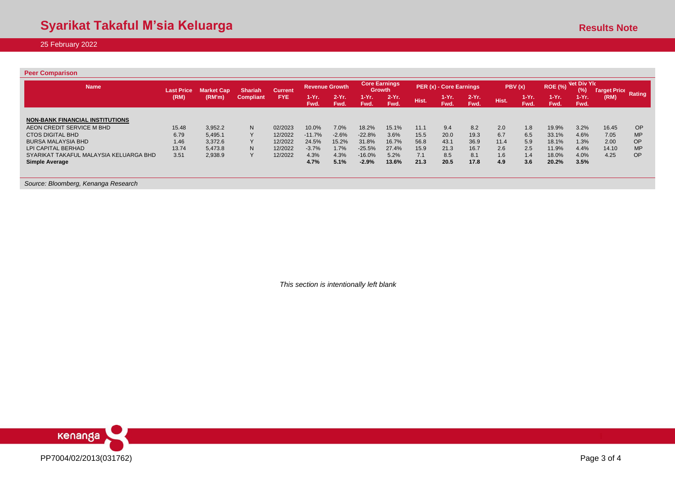| <b>Peer Comparison</b>                 |                   |                   |                  |                |                       |                  |                                       |                 |                         |                 |                  |       |                                                       |                  |                            |       |           |
|----------------------------------------|-------------------|-------------------|------------------|----------------|-----------------------|------------------|---------------------------------------|-----------------|-------------------------|-----------------|------------------|-------|-------------------------------------------------------|------------------|----------------------------|-------|-----------|
| <b>Name</b>                            | <b>Last Price</b> | <b>Market Cap</b> | <b>Shariah</b>   | <b>Current</b> | <b>Revenue Growth</b> |                  | <b>Core Earnings</b><br><b>Growth</b> |                 | PER (x) - Core Earnings |                 | PBV(x)           |       | <b>Net Div Ylc</b><br><b>ROE (%)</b><br>$\frac{9}{6}$ |                  | <b>Target Price Rating</b> |       |           |
|                                        | (RM)              | (RM'm)            | <b>Compliant</b> | <b>FYE</b>     | 1-Yr.<br>Fwd.         | $2-Yr$ .<br>Fwd. | $1-Yr$ .<br>Fwd.                      | $2-Yr.$<br>Fwd. | Hist.                   | $1-Yr.$<br>Fwd. | $2-Yr$ .<br>Fwd. | Hist. | 1-Yr. .<br>Fwd.                                       | $1-Yr$ .<br>Fwd. | 1-Yr.<br>Fwd.              | (RM)  |           |
| <b>NON-BANK FINANCIAL INSTITUTIONS</b> |                   |                   |                  |                |                       |                  |                                       |                 |                         |                 |                  |       |                                                       |                  |                            |       |           |
| AEON CREDIT SERVICE M BHD              | 15.48             | 3,952.2           | N.               | 02/2023        | 10.0%                 | 7.0%             | 18.2%                                 | 15.1%           | 11.1                    | 9.4             | 8.2              | 2.0   | 1.8                                                   | 19.9%            | 3.2%                       | 16.45 | <b>OP</b> |
| <b>CTOS DIGITAL BHD</b>                | 6.79              | 5,495.1           |                  | 12/2022        | $-11.7%$              | $-2.6%$          | $-22.8%$                              | 3.6%            | 15.5                    | 20.0            | 19.3             | 6.7   | 6.5                                                   | 33.1%            | 4.6%                       | 7.05  | <b>MP</b> |
| <b>BURSA MALAYSIA BHD</b>              | 1.46              | 3,372.6           |                  | 12/2022        | 24.5%                 | 15.2%            | 31.8%                                 | 16.7%           | 56.8                    | 43.1            | 36.9             | 11.4  | 5.9                                                   | 18.1%            | 1.3%                       | 2.00  | <b>OP</b> |
| LPI CAPITAL BERHAD                     | 13.74             | 5.473.8           | N                | 12/2022        | $-3.7%$               | 1.7%             | $-25.5%$                              | 27.4%           | 15.9                    | 21.3            | 16.7             | 2.6   | 2.5                                                   | 11.9%            | 4.4%                       | 14.10 | <b>MP</b> |
| SYARIKAT TAKAFUL MALAYSIA KELUARGA BHD | 3.51              | 2,938.9           |                  | 12/2022        | 4.3%                  | 4.3%             | $-16.0%$                              | 5.2%            | 7.1                     | 8.5             | 8.1              | 1.6   | 1.4                                                   | 18.0%            | 4.0%                       | 4.25  | <b>OP</b> |
| <b>Simple Average</b>                  |                   |                   |                  |                | 4.7%                  | 5.1%             | $-2.9%$                               | 13.6%           | 21.3                    | 20.5            | 17.8             | 4.9   | 3.6                                                   | 20.2%            | 3.5%                       |       |           |
|                                        |                   |                   |                  |                |                       |                  |                                       |                 |                         |                 |                  |       |                                                       |                  |                            |       |           |
|                                        |                   |                   |                  |                |                       |                  |                                       |                 |                         |                 |                  |       |                                                       |                  |                            |       |           |

*Source: Bloomberg, Kenanga Research*

*This section is intentionally left blank*